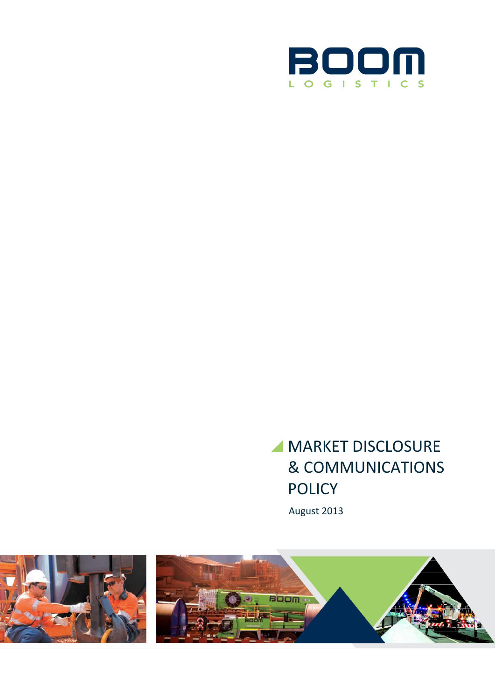

# **MARKET DISCLOSURE** & COMMUNICATIONS POLICY

August 2013

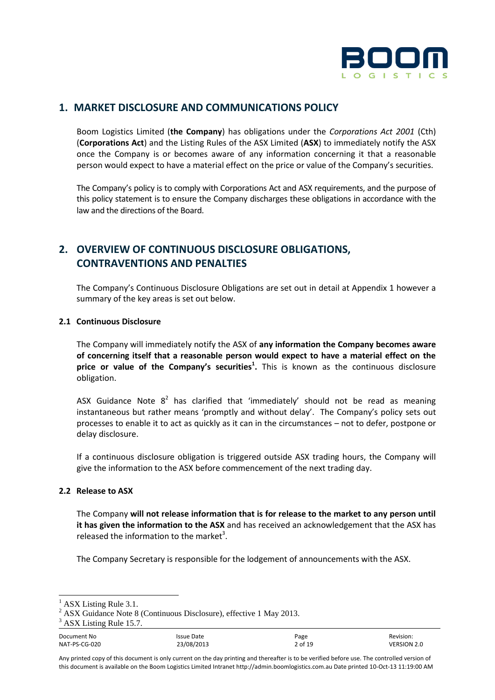

## **1. MARKET DISCLOSURE AND COMMUNICATIONS POLICY**

Boom Logistics Limited (**the Company**) has obligations under the *Corporations Act 2001* (Cth) (**Corporations Act**) and the Listing Rules of the ASX Limited (**ASX**) to immediately notify the ASX once the Company is or becomes aware of any information concerning it that a reasonable person would expect to have a material effect on the price or value of the Company's securities.

The Company's policy is to comply with Corporations Act and ASX requirements, and the purpose of this policy statement is to ensure the Company discharges these obligations in accordance with the law and the directions of the Board.

## **2. OVERVIEW OF CONTINUOUS DISCLOSURE OBLIGATIONS, CONTRAVENTIONS AND PENALTIES**

The Company's Continuous Disclosure Obligations are set out in detail at Appendix 1 however a summary of the key areas is set out below.

#### **2.1 Continuous Disclosure**

The Company will immediately notify the ASX of **any information the Company becomes aware of concerning itself that a reasonable person would expect to have a material effect on the price or value of the Company's securities<sup>1</sup> .** This is known as the continuous disclosure obligation.

ASX Guidance Note  $8^2$  has clarified that 'immediately' should not be read as meaning instantaneous but rather means 'promptly and without delay'. The Company's policy sets out processes to enable it to act as quickly as it can in the circumstances – not to defer, postpone or delay disclosure.

If a continuous disclosure obligation is triggered outside ASX trading hours, the Company will give the information to the ASX before commencement of the next trading day.

#### **2.2 Release to ASX**

The Company **will not release information that is for release to the market to any person until it has given the information to the ASX** and has received an acknowledgement that the ASX has released the information to the market<sup>3</sup>.

The Company Secretary is responsible for the lodgement of announcements with the ASX.

ASX Listing Rule 3.1.

<sup>2</sup> ASX Guidance Note 8 (Continuous Disclosure), effective 1 May 2013.

ASX Listing Rule 15.7.

Document No **Internal Communist Communist Communist Communist Communist Communist Communist Communist Communist Communist Communist Communist Communist Communist Communist Communist Communist Communist Communist Communist** NAT-PS-CG-020 23/08/2013 2 of 19 VERSION 2.0

Any printed copy of this document is only current on the day printing and thereafter is to be verified before use. The controlled version of this document is available on the Boom Logistics Limited Intranet http://admin.boomlogistics.com.au Date printed 10-Oct-13 11:19:00 AM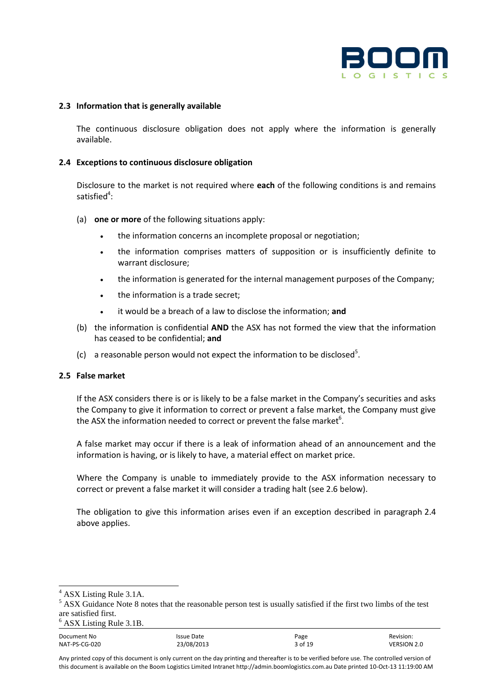

#### **2.3 Information that is generally available**

The continuous disclosure obligation does not apply where the information is generally available.

#### **2.4 Exceptions to continuous disclosure obligation**

Disclosure to the market is not required where **each** of the following conditions is and remains satisfied $4$ :

- (a) **one or more** of the following situations apply:
	- the information concerns an incomplete proposal or negotiation;
	- the information comprises matters of supposition or is insufficiently definite to warrant disclosure;
	- the information is generated for the internal management purposes of the Company;
	- the information is a trade secret:
	- it would be a breach of a law to disclose the information; **and**
- (b) the information is confidential **AND** the ASX has not formed the view that the information has ceased to be confidential; **and**
- (c) a reasonable person would not expect the information to be disclosed<sup>5</sup>.

#### **2.5 False market**

If the ASX considers there is or is likely to be a false market in the Company's securities and asks the Company to give it information to correct or prevent a false market, the Company must give the ASX the information needed to correct or prevent the false market $^6$ .

A false market may occur if there is a leak of information ahead of an announcement and the information is having, or is likely to have, a material effect on market price.

Where the Company is unable to immediately provide to the ASX information necessary to correct or prevent a false market it will consider a trading halt (see 2.6 below).

The obligation to give this information arises even if an exception described in paragraph 2.4 above applies.

<sup>4</sup> ASX Listing Rule 3.1A.

<sup>&</sup>lt;sup>5</sup> ASX Guidance Note 8 notes that the reasonable person test is usually satisfied if the first two limbs of the test are satisfied first.

<sup>6</sup> ASX Listing Rule 3.1B.

Document No **Internal Communist Communist Communist Communist Communist Communist Communist Communist Communist Communist Communist Communist Communist Communist Communist Communist Communist Communist Communist Communist** NAT-PS-CG-020 23/08/2013 3 of 19 VERSION 2.0

Any printed copy of this document is only current on the day printing and thereafter is to be verified before use. The controlled version of this document is available on the Boom Logistics Limited Intranet http://admin.boomlogistics.com.au Date printed 10-Oct-13 11:19:00 AM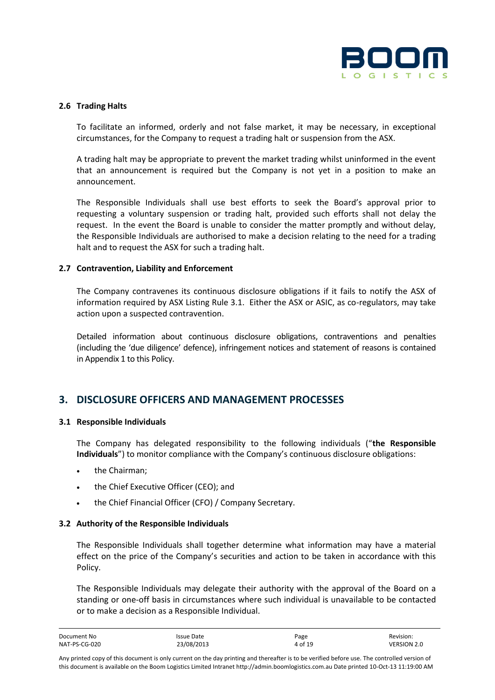

#### **2.6 Trading Halts**

To facilitate an informed, orderly and not false market, it may be necessary, in exceptional circumstances, for the Company to request a trading halt or suspension from the ASX.

A trading halt may be appropriate to prevent the market trading whilst uninformed in the event that an announcement is required but the Company is not yet in a position to make an announcement.

The Responsible Individuals shall use best efforts to seek the Board's approval prior to requesting a voluntary suspension or trading halt, provided such efforts shall not delay the request. In the event the Board is unable to consider the matter promptly and without delay, the Responsible Individuals are authorised to make a decision relating to the need for a trading halt and to request the ASX for such a trading halt.

#### **2.7 Contravention, Liability and Enforcement**

The Company contravenes its continuous disclosure obligations if it fails to notify the ASX of information required by ASX Listing Rule 3.1. Either the ASX or ASIC, as co-regulators, may take action upon a suspected contravention.

Detailed information about continuous disclosure obligations, contraventions and penalties (including the 'due diligence' defence), infringement notices and statement of reasons is contained in Appendix 1 to this Policy.

## **3. DISCLOSURE OFFICERS AND MANAGEMENT PROCESSES**

#### **3.1 Responsible Individuals**

The Company has delegated responsibility to the following individuals ("**the Responsible Individuals**") to monitor compliance with the Company's continuous disclosure obligations:

- the Chairman;
- the Chief Executive Officer (CEO); and
- the Chief Financial Officer (CFO) / Company Secretary.

#### **3.2 Authority of the Responsible Individuals**

The Responsible Individuals shall together determine what information may have a material effect on the price of the Company's securities and action to be taken in accordance with this Policy.

The Responsible Individuals may delegate their authority with the approval of the Board on a standing or one-off basis in circumstances where such individual is unavailable to be contacted or to make a decision as a Responsible Individual.

| Document No   | Issue Date | Page    | Revision:          |
|---------------|------------|---------|--------------------|
| NAT-PS-CG-020 | 23/08/2013 | 4 of 19 | <b>VERSION 2.0</b> |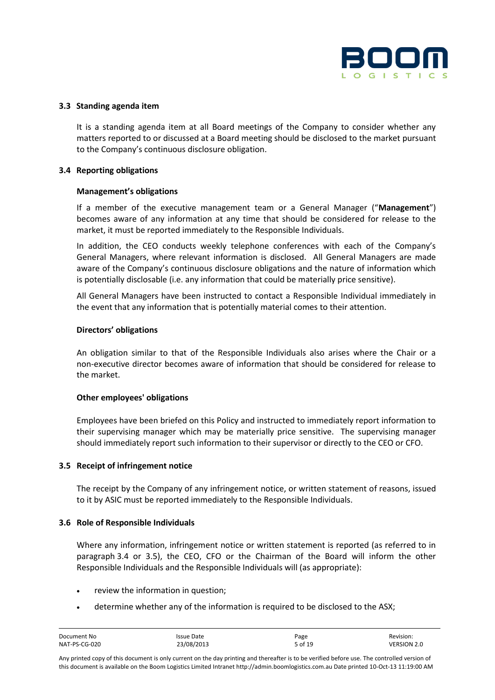

#### **3.3 Standing agenda item**

It is a standing agenda item at all Board meetings of the Company to consider whether any matters reported to or discussed at a Board meeting should be disclosed to the market pursuant to the Company's continuous disclosure obligation.

#### **3.4 Reporting obligations**

#### **Management's obligations**

If a member of the executive management team or a General Manager ("**Management**") becomes aware of any information at any time that should be considered for release to the market, it must be reported immediately to the Responsible Individuals.

In addition, the CEO conducts weekly telephone conferences with each of the Company's General Managers, where relevant information is disclosed. All General Managers are made aware of the Company's continuous disclosure obligations and the nature of information which is potentially disclosable (i.e. any information that could be materially price sensitive).

All General Managers have been instructed to contact a Responsible Individual immediately in the event that any information that is potentially material comes to their attention.

#### **Directors' obligations**

An obligation similar to that of the Responsible Individuals also arises where the Chair or a non-executive director becomes aware of information that should be considered for release to the market.

#### **Other employees' obligations**

Employees have been briefed on this Policy and instructed to immediately report information to their supervising manager which may be materially price sensitive. The supervising manager should immediately report such information to their supervisor or directly to the CEO or CFO.

#### **3.5 Receipt of infringement notice**

The receipt by the Company of any infringement notice, or written statement of reasons, issued to it by ASIC must be reported immediately to the Responsible Individuals.

#### **3.6 Role of Responsible Individuals**

Where any information, infringement notice or written statement is reported (as referred to in paragraph 3.4 or 3.5), the CEO, CFO or the Chairman of the Board will inform the other Responsible Individuals and the Responsible Individuals will (as appropriate):

- review the information in question;
- determine whether any of the information is required to be disclosed to the ASX;

| Document No   | Issue Date | Page    | Revision:          |
|---------------|------------|---------|--------------------|
| NAT-PS-CG-020 | 23/08/2013 | 5 of 19 | <b>VERSION 2.0</b> |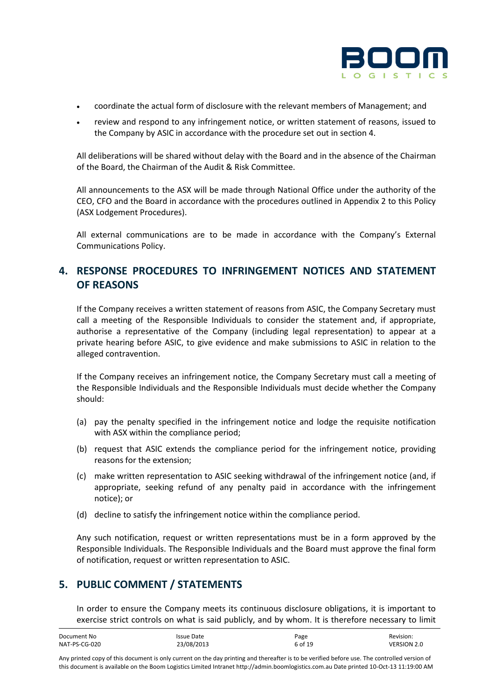

- coordinate the actual form of disclosure with the relevant members of Management; and
- review and respond to any infringement notice, or written statement of reasons, issued to the Company by ASIC in accordance with the procedure set out in section 4.

All deliberations will be shared without delay with the Board and in the absence of the Chairman of the Board, the Chairman of the Audit & Risk Committee.

All announcements to the ASX will be made through National Office under the authority of the CEO, CFO and the Board in accordance with the procedures outlined in Appendix 2 to this Policy (ASX Lodgement Procedures).

All external communications are to be made in accordance with the Company's External Communications Policy.

## **4. RESPONSE PROCEDURES TO INFRINGEMENT NOTICES AND STATEMENT OF REASONS**

If the Company receives a written statement of reasons from ASIC, the Company Secretary must call a meeting of the Responsible Individuals to consider the statement and, if appropriate, authorise a representative of the Company (including legal representation) to appear at a private hearing before ASIC, to give evidence and make submissions to ASIC in relation to the alleged contravention.

If the Company receives an infringement notice, the Company Secretary must call a meeting of the Responsible Individuals and the Responsible Individuals must decide whether the Company should:

- (a) pay the penalty specified in the infringement notice and lodge the requisite notification with ASX within the compliance period;
- (b) request that ASIC extends the compliance period for the infringement notice, providing reasons for the extension;
- (c) make written representation to ASIC seeking withdrawal of the infringement notice (and, if appropriate, seeking refund of any penalty paid in accordance with the infringement notice); or
- (d) decline to satisfy the infringement notice within the compliance period.

Any such notification, request or written representations must be in a form approved by the Responsible Individuals. The Responsible Individuals and the Board must approve the final form of notification, request or written representation to ASIC.

## **5. PUBLIC COMMENT / STATEMENTS**

In order to ensure the Company meets its continuous disclosure obligations, it is important to exercise strict controls on what is said publicly, and by whom. It is therefore necessary to limit

| Document No   | Issue Date | Page    | Revision:   |
|---------------|------------|---------|-------------|
| NAT-PS-CG-020 | 23/08/2013 | 6 of 19 | VERSION 2.0 |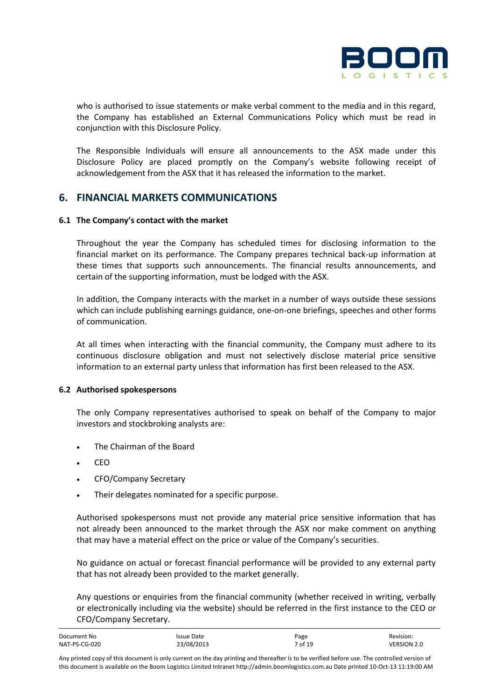

who is authorised to issue statements or make verbal comment to the media and in this regard, the Company has established an External Communications Policy which must be read in conjunction with this Disclosure Policy.

The Responsible Individuals will ensure all announcements to the ASX made under this Disclosure Policy are placed promptly on the Company's website following receipt of acknowledgement from the ASX that it has released the information to the market.

### **6. FINANCIAL MARKETS COMMUNICATIONS**

#### **6.1 The Company's contact with the market**

Throughout the year the Company has scheduled times for disclosing information to the financial market on its performance. The Company prepares technical back-up information at these times that supports such announcements. The financial results announcements, and certain of the supporting information, must be lodged with the ASX.

In addition, the Company interacts with the market in a number of ways outside these sessions which can include publishing earnings guidance, one-on-one briefings, speeches and other forms of communication.

At all times when interacting with the financial community, the Company must adhere to its continuous disclosure obligation and must not selectively disclose material price sensitive information to an external party unless that information has first been released to the ASX.

#### **6.2 Authorised spokespersons**

The only Company representatives authorised to speak on behalf of the Company to major investors and stockbroking analysts are:

- The Chairman of the Board
- $CFO$
- CFO/Company Secretary
- Their delegates nominated for a specific purpose.

Authorised spokespersons must not provide any material price sensitive information that has not already been announced to the market through the ASX nor make comment on anything that may have a material effect on the price or value of the Company's securities.

No guidance on actual or forecast financial performance will be provided to any external party that has not already been provided to the market generally.

Any questions or enquiries from the financial community (whether received in writing, verbally or electronically including via the website) should be referred in the first instance to the CEO or CFO/Company Secretary.

| Document No   | Issue Date | Page    | Revision:   |
|---------------|------------|---------|-------------|
| NAT-PS-CG-020 | 23/08/2013 | 7 of 19 | VERSION 2.0 |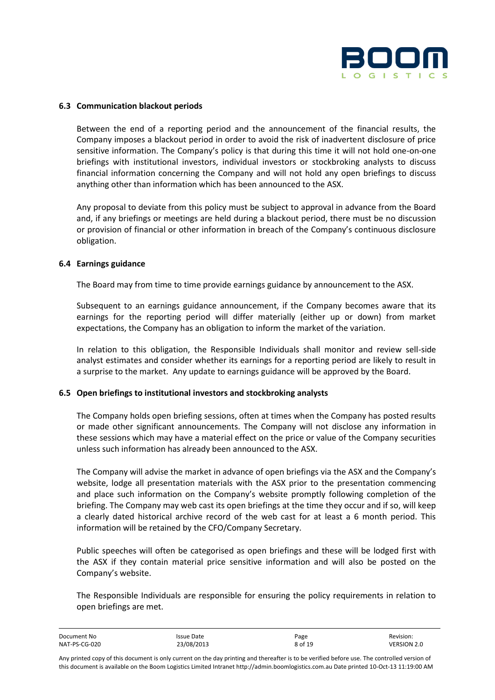

#### **6.3 Communication blackout periods**

Between the end of a reporting period and the announcement of the financial results, the Company imposes a blackout period in order to avoid the risk of inadvertent disclosure of price sensitive information. The Company's policy is that during this time it will not hold one-on-one briefings with institutional investors, individual investors or stockbroking analysts to discuss financial information concerning the Company and will not hold any open briefings to discuss anything other than information which has been announced to the ASX.

Any proposal to deviate from this policy must be subject to approval in advance from the Board and, if any briefings or meetings are held during a blackout period, there must be no discussion or provision of financial or other information in breach of the Company's continuous disclosure obligation.

#### **6.4 Earnings guidance**

The Board may from time to time provide earnings guidance by announcement to the ASX.

Subsequent to an earnings guidance announcement, if the Company becomes aware that its earnings for the reporting period will differ materially (either up or down) from market expectations, the Company has an obligation to inform the market of the variation.

In relation to this obligation, the Responsible Individuals shall monitor and review sell-side analyst estimates and consider whether its earnings for a reporting period are likely to result in a surprise to the market. Any update to earnings guidance will be approved by the Board.

#### **6.5 Open briefings to institutional investors and stockbroking analysts**

The Company holds open briefing sessions, often at times when the Company has posted results or made other significant announcements. The Company will not disclose any information in these sessions which may have a material effect on the price or value of the Company securities unless such information has already been announced to the ASX.

The Company will advise the market in advance of open briefings via the ASX and the Company's website, lodge all presentation materials with the ASX prior to the presentation commencing and place such information on the Company's website promptly following completion of the briefing. The Company may web cast its open briefings at the time they occur and if so, will keep a clearly dated historical archive record of the web cast for at least a 6 month period. This information will be retained by the CFO/Company Secretary.

Public speeches will often be categorised as open briefings and these will be lodged first with the ASX if they contain material price sensitive information and will also be posted on the Company's website.

The Responsible Individuals are responsible for ensuring the policy requirements in relation to open briefings are met.

| Document No   | Issue Date | Page    | Revision:          |
|---------------|------------|---------|--------------------|
| NAT-PS-CG-020 | 23/08/2013 | 8 of 19 | <b>VERSION 2.0</b> |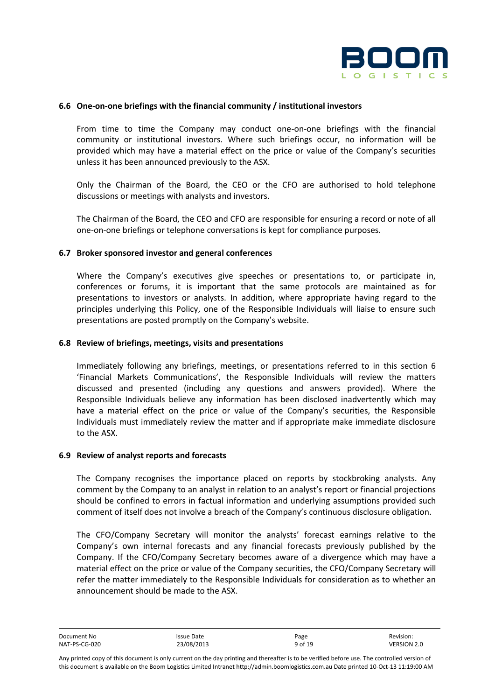

#### **6.6 One-on-one briefings with the financial community / institutional investors**

From time to time the Company may conduct one-on-one briefings with the financial community or institutional investors. Where such briefings occur, no information will be provided which may have a material effect on the price or value of the Company's securities unless it has been announced previously to the ASX.

Only the Chairman of the Board, the CEO or the CFO are authorised to hold telephone discussions or meetings with analysts and investors.

The Chairman of the Board, the CEO and CFO are responsible for ensuring a record or note of all one-on-one briefings or telephone conversations is kept for compliance purposes.

#### **6.7 Broker sponsored investor and general conferences**

Where the Company's executives give speeches or presentations to, or participate in, conferences or forums, it is important that the same protocols are maintained as for presentations to investors or analysts. In addition, where appropriate having regard to the principles underlying this Policy, one of the Responsible Individuals will liaise to ensure such presentations are posted promptly on the Company's website.

#### **6.8 Review of briefings, meetings, visits and presentations**

Immediately following any briefings, meetings, or presentations referred to in this section 6 'Financial Markets Communications', the Responsible Individuals will review the matters discussed and presented (including any questions and answers provided). Where the Responsible Individuals believe any information has been disclosed inadvertently which may have a material effect on the price or value of the Company's securities, the Responsible Individuals must immediately review the matter and if appropriate make immediate disclosure to the ASX.

#### **6.9 Review of analyst reports and forecasts**

The Company recognises the importance placed on reports by stockbroking analysts. Any comment by the Company to an analyst in relation to an analyst's report or financial projections should be confined to errors in factual information and underlying assumptions provided such comment of itself does not involve a breach of the Company's continuous disclosure obligation.

The CFO/Company Secretary will monitor the analysts' forecast earnings relative to the Company's own internal forecasts and any financial forecasts previously published by the Company. If the CFO/Company Secretary becomes aware of a divergence which may have a material effect on the price or value of the Company securities, the CFO/Company Secretary will refer the matter immediately to the Responsible Individuals for consideration as to whether an announcement should be made to the ASX.

| Document No   | Issue Date | Page    | Revision:   |
|---------------|------------|---------|-------------|
| NAT-PS-CG-020 | 23/08/2013 | 9 of 19 | VERSION 2.0 |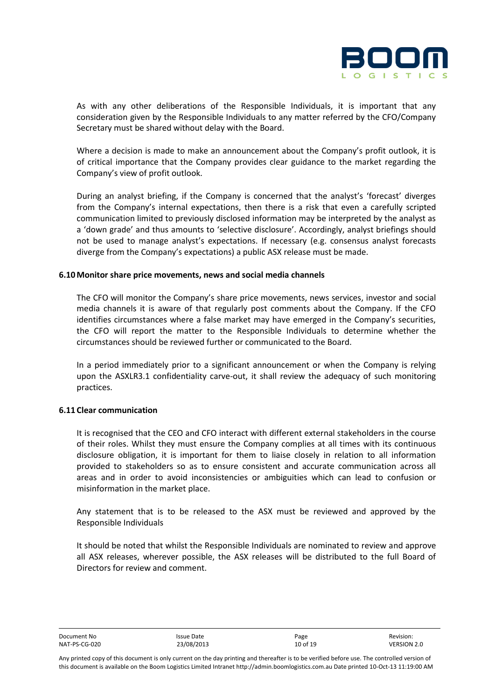

As with any other deliberations of the Responsible Individuals, it is important that any consideration given by the Responsible Individuals to any matter referred by the CFO/Company Secretary must be shared without delay with the Board.

Where a decision is made to make an announcement about the Company's profit outlook, it is of critical importance that the Company provides clear guidance to the market regarding the Company's view of profit outlook.

During an analyst briefing, if the Company is concerned that the analyst's 'forecast' diverges from the Company's internal expectations, then there is a risk that even a carefully scripted communication limited to previously disclosed information may be interpreted by the analyst as a 'down grade' and thus amounts to 'selective disclosure'. Accordingly, analyst briefings should not be used to manage analyst's expectations. If necessary (e.g. consensus analyst forecasts diverge from the Company's expectations) a public ASX release must be made.

#### **6.10 Monitor share price movements, news and social media channels**

The CFO will monitor the Company's share price movements, news services, investor and social media channels it is aware of that regularly post comments about the Company. If the CFO identifies circumstances where a false market may have emerged in the Company's securities, the CFO will report the matter to the Responsible Individuals to determine whether the circumstances should be reviewed further or communicated to the Board.

In a period immediately prior to a significant announcement or when the Company is relying upon the ASXLR3.1 confidentiality carve-out, it shall review the adequacy of such monitoring practices.

#### **6.11 Clear communication**

It is recognised that the CEO and CFO interact with different external stakeholders in the course of their roles. Whilst they must ensure the Company complies at all times with its continuous disclosure obligation, it is important for them to liaise closely in relation to all information provided to stakeholders so as to ensure consistent and accurate communication across all areas and in order to avoid inconsistencies or ambiguities which can lead to confusion or misinformation in the market place.

Any statement that is to be released to the ASX must be reviewed and approved by the Responsible Individuals

It should be noted that whilst the Responsible Individuals are nominated to review and approve all ASX releases, wherever possible, the ASX releases will be distributed to the full Board of Directors for review and comment.

| Document No   | Issue Date | Page     | Revision:   |
|---------------|------------|----------|-------------|
| NAT-PS-CG-020 | 23/08/2013 | 10 of 19 | VERSION 2.0 |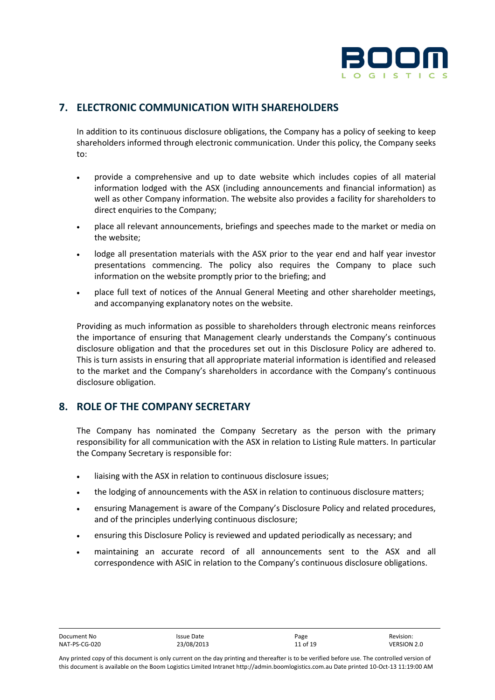

## **7. ELECTRONIC COMMUNICATION WITH SHAREHOLDERS**

In addition to its continuous disclosure obligations, the Company has a policy of seeking to keep shareholders informed through electronic communication. Under this policy, the Company seeks to:

- provide a comprehensive and up to date website which includes copies of all material information lodged with the ASX (including announcements and financial information) as well as other Company information. The website also provides a facility for shareholders to direct enquiries to the Company;
- place all relevant announcements, briefings and speeches made to the market or media on the website;
- lodge all presentation materials with the ASX prior to the year end and half year investor presentations commencing. The policy also requires the Company to place such information on the website promptly prior to the briefing; and
- place full text of notices of the Annual General Meeting and other shareholder meetings, and accompanying explanatory notes on the website.

Providing as much information as possible to shareholders through electronic means reinforces the importance of ensuring that Management clearly understands the Company's continuous disclosure obligation and that the procedures set out in this Disclosure Policy are adhered to. This is turn assists in ensuring that all appropriate material information is identified and released to the market and the Company's shareholders in accordance with the Company's continuous disclosure obligation.

## **8. ROLE OF THE COMPANY SECRETARY**

The Company has nominated the Company Secretary as the person with the primary responsibility for all communication with the ASX in relation to Listing Rule matters. In particular the Company Secretary is responsible for:

- liaising with the ASX in relation to continuous disclosure issues;
- the lodging of announcements with the ASX in relation to continuous disclosure matters;
- ensuring Management is aware of the Company's Disclosure Policy and related procedures, and of the principles underlying continuous disclosure;
- ensuring this Disclosure Policy is reviewed and updated periodically as necessary; and
- maintaining an accurate record of all announcements sent to the ASX and all correspondence with ASIC in relation to the Company's continuous disclosure obligations.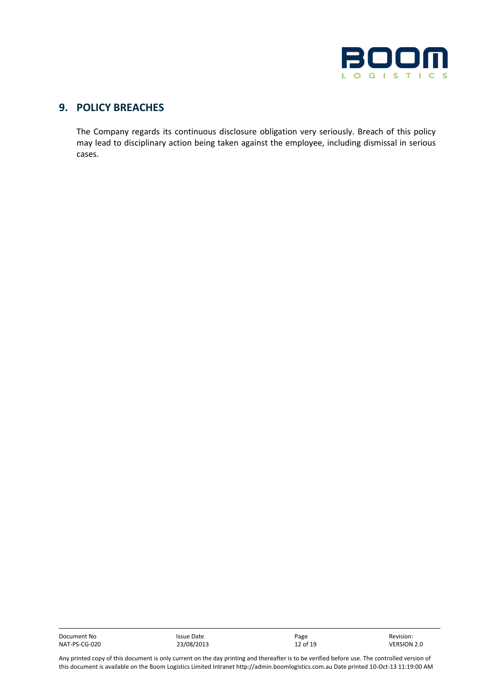

## **9. POLICY BREACHES**

The Company regards its continuous disclosure obligation very seriously. Breach of this policy may lead to disciplinary action being taken against the employee, including dismissal in serious cases.

Document No Issue Date Page Revision: NAT-PS-CG-020 23/08/2013 12 of 19 VERSION 2.0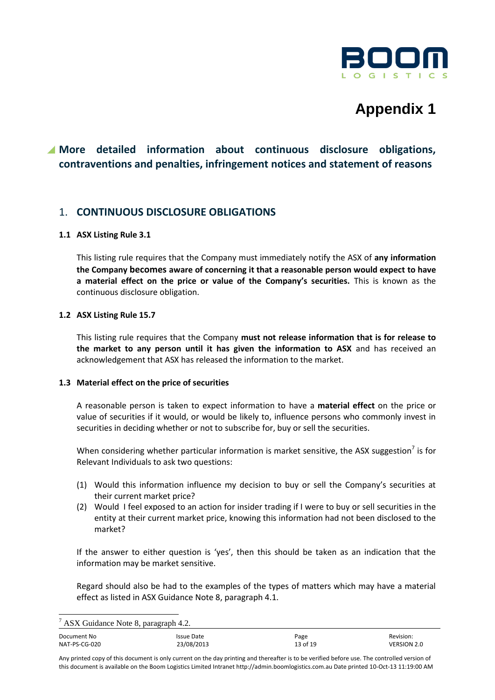

## **Appendix 1**

## **More detailed information about continuous disclosure obligations, contraventions and penalties, infringement notices and statement of reasons**

## 1. **CONTINUOUS DISCLOSURE OBLIGATIONS**

#### **1.1 ASX Listing Rule 3.1**

This listing rule requires that the Company must immediately notify the ASX of **any information the Company becomes aware of concerning it that a reasonable person would expect to have a material effect on the price or value of the Company's securities.** This is known as the continuous disclosure obligation.

#### **1.2 ASX Listing Rule 15.7**

This listing rule requires that the Company **must not release information that is for release to the market to any person until it has given the information to ASX** and has received an acknowledgement that ASX has released the information to the market.

#### **1.3 Material effect on the price of securities**

A reasonable person is taken to expect information to have a **material effect** on the price or value of securities if it would, or would be likely to, influence persons who commonly invest in securities in deciding whether or not to subscribe for, buy or sell the securities.

When considering whether particular information is market sensitive, the ASX suggestion<sup>7</sup> is for Relevant Individuals to ask two questions:

- (1) Would this information influence my decision to buy or sell the Company's securities at their current market price?
- (2) Would I feel exposed to an action for insider trading if I were to buy or sell securities in the entity at their current market price, knowing this information had not been disclosed to the market?

If the answer to either question is 'yes', then this should be taken as an indication that the information may be market sensitive.

Regard should also be had to the examples of the types of matters which may have a material effect as listed in ASX Guidance Note 8, paragraph 4.1.

l

| Document No   | Issue Date | Page     | Revision:          |
|---------------|------------|----------|--------------------|
| NAT-PS-CG-020 | 23/08/2013 | 13 of 19 | <b>VERSION 2.0</b> |

Any printed copy of this document is only current on the day printing and thereafter is to be verified before use. The controlled version of this document is available on the Boom Logistics Limited Intranet http://admin.boomlogistics.com.au Date printed 10-Oct-13 11:19:00 AM

 $7$  ASX Guidance Note 8, paragraph 4.2.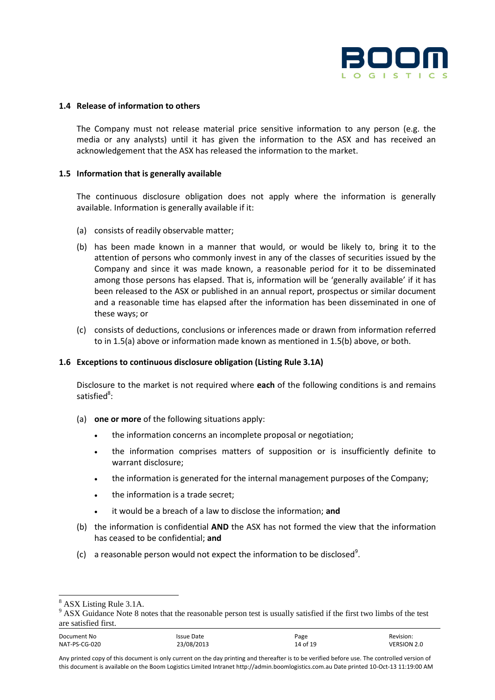

#### **1.4 Release of information to others**

The Company must not release material price sensitive information to any person (e.g. the media or any analysts) until it has given the information to the ASX and has received an acknowledgement that the ASX has released the information to the market.

#### **1.5 Information that is generally available**

The continuous disclosure obligation does not apply where the information is generally available. Information is generally available if it:

- (a) consists of readily observable matter;
- (b) has been made known in a manner that would, or would be likely to, bring it to the attention of persons who commonly invest in any of the classes of securities issued by the Company and since it was made known, a reasonable period for it to be disseminated among those persons has elapsed. That is, information will be 'generally available' if it has been released to the ASX or published in an annual report, prospectus or similar document and a reasonable time has elapsed after the information has been disseminated in one of these ways; or
- (c) consists of deductions, conclusions or inferences made or drawn from information referred to in 1.5(a) above or information made known as mentioned in 1.5(b) above, or both.

#### **1.6 Exceptions to continuous disclosure obligation (Listing Rule 3.1A)**

Disclosure to the market is not required where **each** of the following conditions is and remains satisfied<sup>8</sup>:

- (a) **one or more** of the following situations apply:
	- the information concerns an incomplete proposal or negotiation;
	- the information comprises matters of supposition or is insufficiently definite to warrant disclosure;
	- the information is generated for the internal management purposes of the Company;
	- the information is a trade secret;
	- it would be a breach of a law to disclose the information; **and**
- (b) the information is confidential **AND** the ASX has not formed the view that the information has ceased to be confidential; **and**
- (c) a reasonable person would not expect the information to be disclosed<sup>9</sup>.

<sup>8</sup> ASX Listing Rule 3.1A.

<sup>&</sup>lt;sup>9</sup> ASX Guidance Note 8 notes that the reasonable person test is usually satisfied if the first two limbs of the test are satisfied first.

Document No **Internal Communist Communist Communist Communist Communist Communist Communist Communist Communist Communist Communist Communist Communist Communist Communist Communist Communist Communist Communist Communist** NAT-PS-CG-020 23/08/2013 14 of 19 VERSION 2.0

Any printed copy of this document is only current on the day printing and thereafter is to be verified before use. The controlled version of this document is available on the Boom Logistics Limited Intranet http://admin.boomlogistics.com.au Date printed 10-Oct-13 11:19:00 AM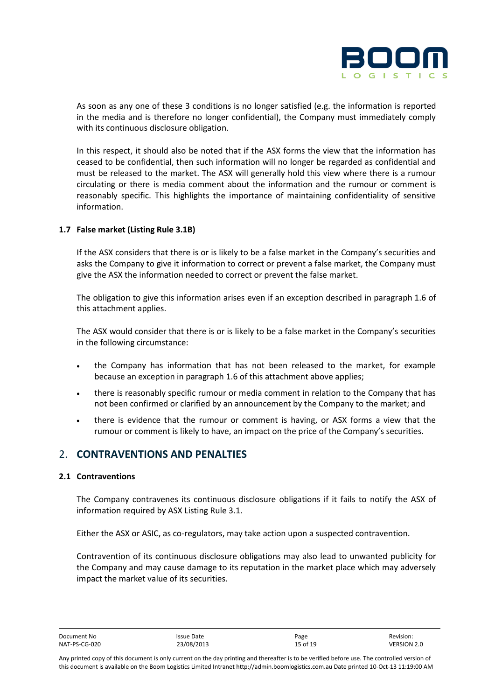

As soon as any one of these 3 conditions is no longer satisfied (e.g. the information is reported in the media and is therefore no longer confidential), the Company must immediately comply with its continuous disclosure obligation.

In this respect, it should also be noted that if the ASX forms the view that the information has ceased to be confidential, then such information will no longer be regarded as confidential and must be released to the market. The ASX will generally hold this view where there is a rumour circulating or there is media comment about the information and the rumour or comment is reasonably specific. This highlights the importance of maintaining confidentiality of sensitive information.

#### **1.7 False market (Listing Rule 3.1B)**

If the ASX considers that there is or is likely to be a false market in the Company's securities and asks the Company to give it information to correct or prevent a false market, the Company must give the ASX the information needed to correct or prevent the false market.

The obligation to give this information arises even if an exception described in paragraph 1.6 of this attachment applies.

The ASX would consider that there is or is likely to be a false market in the Company's securities in the following circumstance:

- the Company has information that has not been released to the market, for example because an exception in paragraph 1.6 of this attachment above applies;
- there is reasonably specific rumour or media comment in relation to the Company that has not been confirmed or clarified by an announcement by the Company to the market; and
- there is evidence that the rumour or comment is having, or ASX forms a view that the rumour or comment is likely to have, an impact on the price of the Company's securities.

## 2. **CONTRAVENTIONS AND PENALTIES**

#### **2.1 Contraventions**

The Company contravenes its continuous disclosure obligations if it fails to notify the ASX of information required by ASX Listing Rule 3.1.

Either the ASX or ASIC, as co-regulators, may take action upon a suspected contravention.

Contravention of its continuous disclosure obligations may also lead to unwanted publicity for the Company and may cause damage to its reputation in the market place which may adversely impact the market value of its securities.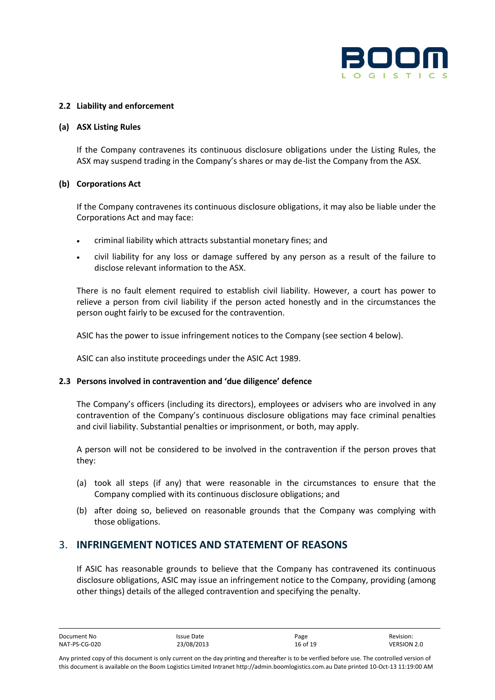

#### **2.2 Liability and enforcement**

#### **(a) ASX Listing Rules**

If the Company contravenes its continuous disclosure obligations under the Listing Rules, the ASX may suspend trading in the Company's shares or may de-list the Company from the ASX.

#### **(b) Corporations Act**

If the Company contravenes its continuous disclosure obligations, it may also be liable under the Corporations Act and may face:

- criminal liability which attracts substantial monetary fines; and
- civil liability for any loss or damage suffered by any person as a result of the failure to disclose relevant information to the ASX.

There is no fault element required to establish civil liability. However, a court has power to relieve a person from civil liability if the person acted honestly and in the circumstances the person ought fairly to be excused for the contravention.

ASIC has the power to issue infringement notices to the Company (see section 4 below).

ASIC can also institute proceedings under the ASIC Act 1989.

#### **2.3 Persons involved in contravention and 'due diligence' defence**

The Company's officers (including its directors), employees or advisers who are involved in any contravention of the Company's continuous disclosure obligations may face criminal penalties and civil liability. Substantial penalties or imprisonment, or both, may apply.

A person will not be considered to be involved in the contravention if the person proves that they:

- (a) took all steps (if any) that were reasonable in the circumstances to ensure that the Company complied with its continuous disclosure obligations; and
- (b) after doing so, believed on reasonable grounds that the Company was complying with those obligations.

## 3. **INFRINGEMENT NOTICES AND STATEMENT OF REASONS**

If ASIC has reasonable grounds to believe that the Company has contravened its continuous disclosure obligations, ASIC may issue an infringement notice to the Company, providing (among other things) details of the alleged contravention and specifying the penalty.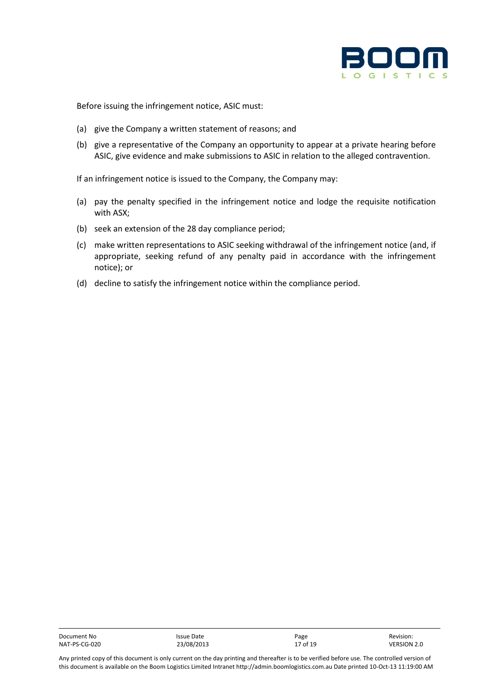

Before issuing the infringement notice, ASIC must:

- (a) give the Company a written statement of reasons; and
- (b) give a representative of the Company an opportunity to appear at a private hearing before ASIC, give evidence and make submissions to ASIC in relation to the alleged contravention.

If an infringement notice is issued to the Company, the Company may:

- (a) pay the penalty specified in the infringement notice and lodge the requisite notification with ASX;
- (b) seek an extension of the 28 day compliance period;
- (c) make written representations to ASIC seeking withdrawal of the infringement notice (and, if appropriate, seeking refund of any penalty paid in accordance with the infringement notice); or
- (d) decline to satisfy the infringement notice within the compliance period.

| Document No   | Issue Date | Page     | Revision:   |
|---------------|------------|----------|-------------|
| NAT-PS-CG-020 | 23/08/2013 | 17 of 19 | VERSION 2.0 |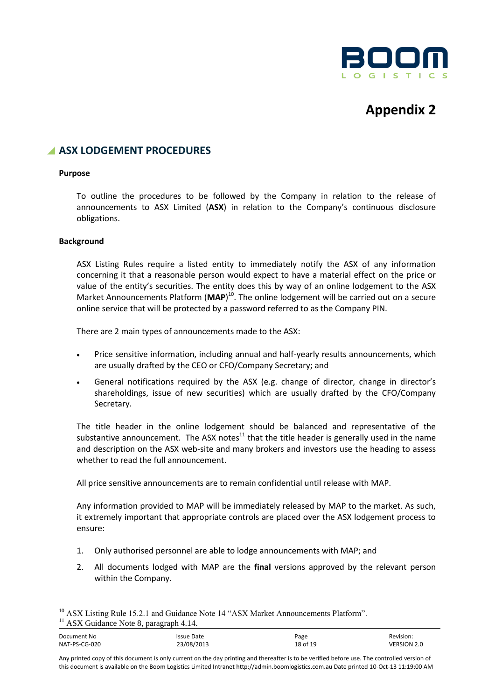

## **Appendix 2**

## **A ASX LODGEMENT PROCEDURES**

#### **Purpose**

To outline the procedures to be followed by the Company in relation to the release of announcements to ASX Limited (**ASX**) in relation to the Company's continuous disclosure obligations.

#### **Background**

ASX Listing Rules require a listed entity to immediately notify the ASX of any information concerning it that a reasonable person would expect to have a material effect on the price or value of the entity's securities. The entity does this by way of an online lodgement to the ASX Market Announcements Platform (MAP)<sup>10</sup>. The online lodgement will be carried out on a secure online service that will be protected by a password referred to as the Company PIN.

There are 2 main types of announcements made to the ASX:

- Price sensitive information, including annual and half-yearly results announcements, which are usually drafted by the CEO or CFO/Company Secretary; and
- General notifications required by the ASX (e.g. change of director, change in director's shareholdings, issue of new securities) which are usually drafted by the CFO/Company Secretary.

The title header in the online lodgement should be balanced and representative of the substantive announcement. The ASX notes $11$  that the title header is generally used in the name and description on the ASX web-site and many brokers and investors use the heading to assess whether to read the full announcement.

All price sensitive announcements are to remain confidential until release with MAP.

Any information provided to MAP will be immediately released by MAP to the market. As such, it extremely important that appropriate controls are placed over the ASX lodgement process to ensure:

- 1. Only authorised personnel are able to lodge announcements with MAP; and
- 2. All documents lodged with MAP are the **final** versions approved by the relevant person within the Company.

<sup>&</sup>lt;sup>10</sup> ASX Listing Rule 15.2.1 and Guidance Note 14 "ASX Market Announcements Platform".

<sup>&</sup>lt;sup>11</sup> ASX Guidance Note 8, paragraph 4.14.

Document No **Internal Communist Communist Communist Communist Communist Communist Communist Communist Communist Communist Communist Communist Communist Communist Communist Communist Communist Communist Communist Communist** NAT-PS-CG-020 23/08/2013 18 of 19 VERSION 2.0

Any printed copy of this document is only current on the day printing and thereafter is to be verified before use. The controlled version of this document is available on the Boom Logistics Limited Intranet http://admin.boomlogistics.com.au Date printed 10-Oct-13 11:19:00 AM